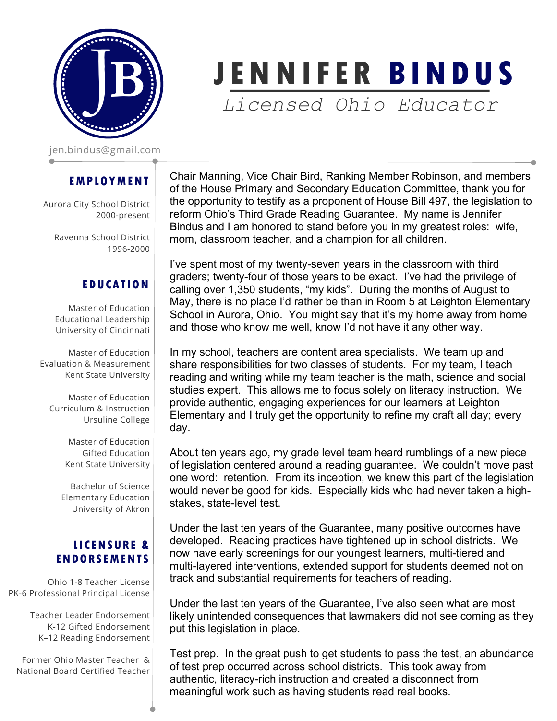

jen.bindus@gmail.com

## **EMPLOYMENT**

Aurora City School District 2000-present

Ravenna School District 1996-2000

## **EDUCATION**

Master of Education Educational Leadership University of Cincinnati

Master of Education Evaluation & Measurement Kent State University

Master of Education Curriculum & Instruction Ursuline College

> Master of Education Gifted Education Kent State University

Bachelor of Science Elementary Education University of Akron

## **LICENSURE & ENDORSEMENTS**

Ohio 1-8 Teacher License PK-6 Professional Principal License

> Teacher Leader Endorsement K-12 Gifted Endorsement K–12 Reading Endorsement

Former Ohio Master Teacher & National Board Certified Teacher

Chair Manning, Vice Chair Bird, Ranking Member Robinson, and members of the House Primary and Secondary Education Committee, thank you for the opportunity to testify as a proponent of House Bill 497, the legislation to reform Ohio's Third Grade Reading Guarantee. My name is Jennifer Bindus and I am honored to stand before you in my greatest roles: wife, mom, classroom teacher, and a champion for all children.

**JENNIF E R B INDUS**

*Licensed Ohio Educator*

I've spent most of my twenty-seven years in the classroom with third graders; twenty-four of those years to be exact. I've had the privilege of calling over 1,350 students, "my kids". During the months of August to May, there is no place I'd rather be than in Room 5 at Leighton Elementary School in Aurora, Ohio. You might say that it's my home away from home and those who know me well, know I'd not have it any other way.

In my school, teachers are content area specialists. We team up and share responsibilities for two classes of students. For my team, I teach reading and writing while my team teacher is the math, science and social studies expert. This allows me to focus solely on literacy instruction. We provide authentic, engaging experiences for our learners at Leighton Elementary and I truly get the opportunity to refine my craft all day; every day.

About ten years ago, my grade level team heard rumblings of a new piece of legislation centered around a reading guarantee. We couldn't move past one word: retention. From its inception, we knew this part of the legislation would never be good for kids. Especially kids who had never taken a highstakes, state-level test.

Under the last ten years of the Guarantee, many positive outcomes have developed. Reading practices have tightened up in school districts. We now have early screenings for our youngest learners, multi-tiered and multi-layered interventions, extended support for students deemed not on track and substantial requirements for teachers of reading.

Under the last ten years of the Guarantee, I've also seen what are most likely unintended consequences that lawmakers did not see coming as they put this legislation in place.

Test prep. In the great push to get students to pass the test, an abundance of test prep occurred across school districts. This took away from authentic, literacy-rich instruction and created a disconnect from meaningful work such as having students read real books.